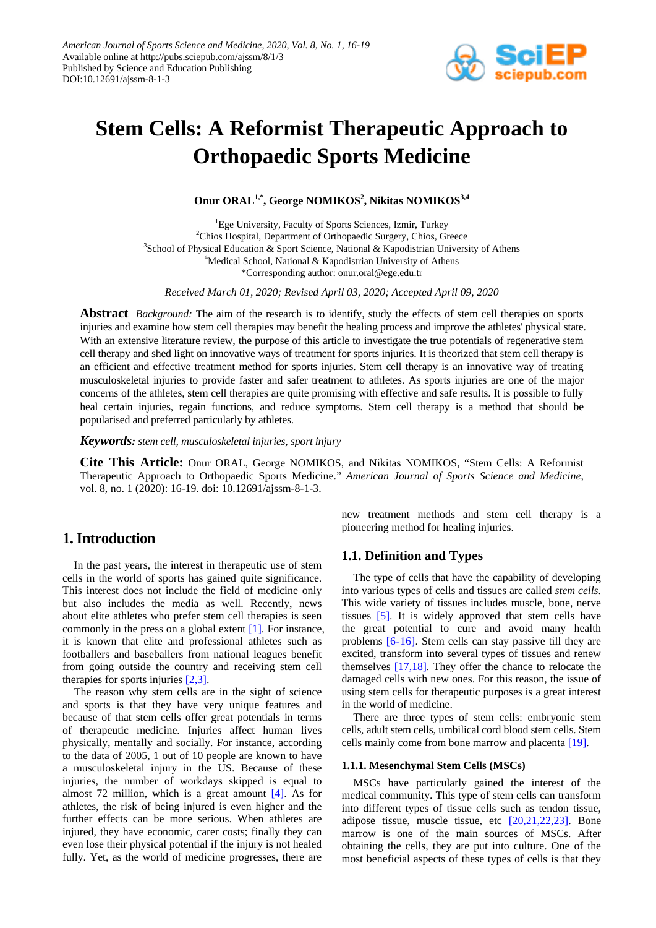

# **Stem Cells: A Reformist Therapeutic Approach to Orthopaedic Sports Medicine**

**Onur ORAL1,\*, George NOMIKOS2 , Nikitas NOMIKOS3,4**

<sup>1</sup>Ege University, Faculty of Sports Sciences, Izmir, Turkey <sup>2</sup>Chios Hospital, Department of Orthopaedic Surgery, Chios, Greece <sup>3</sup>School of Physical Education & Sport Science, National & Kapodistrian University of Athens <sup>4</sup>Medical School, National & Kapodistrian University of Athens \*Corresponding author: onur.oral@ege.edu.tr

*Received March 01, 2020; Revised April 03, 2020; Accepted April 09, 2020*

**Abstract** *Background:* The aim of the research is to identify, study the effects of stem cell therapies on sports injuries and examine how stem cell therapies may benefit the healing process and improve the athletes' physical state. With an extensive literature review, the purpose of this article to investigate the true potentials of regenerative stem cell therapy and shed light on innovative ways of treatment for sports injuries. It is theorized that stem cell therapy is an efficient and effective treatment method for sports injuries. Stem cell therapy is an innovative way of treating musculoskeletal injuries to provide faster and safer treatment to athletes. As sports injuries are one of the major concerns of the athletes, stem cell therapies are quite promising with effective and safe results. It is possible to fully heal certain injuries, regain functions, and reduce symptoms. Stem cell therapy is a method that should be popularised and preferred particularly by athletes.

*Keywords: stem cell, musculoskeletal injuries, sport injury*

**Cite This Article:** Onur ORAL, George NOMIKOS, and Nikitas NOMIKOS, "Stem Cells: A Reformist Therapeutic Approach to Orthopaedic Sports Medicine." *American Journal of Sports Science and Medicine*, vol. 8, no. 1 (2020): 16-19. doi: 10.12691/ajssm-8-1-3.

# **1. Introduction**

In the past years, the interest in therapeutic use of stem cells in the world of sports has gained quite significance. This interest does not include the field of medicine only but also includes the media as well. Recently, news about elite athletes who prefer stem cell therapies is seen commonly in the press on a global extent [\[1\].](#page-2-0) For instance, it is known that elite and professional athletes such as footballers and baseballers from national leagues benefit from going outside the country and receiving stem cell therapies for sports injuries [\[2,3\].](#page-2-1)

The reason why stem cells are in the sight of science and sports is that they have very unique features and because of that stem cells offer great potentials in terms of therapeutic medicine. Injuries affect human lives physically, mentally and socially. For instance, according to the data of 2005, 1 out of 10 people are known to have a musculoskeletal injury in the US. Because of these injuries, the number of workdays skipped is equal to almost 72 million, which is a great amount  $[4]$ . As for athletes, the risk of being injured is even higher and the further effects can be more serious. When athletes are injured, they have economic, carer costs; finally they can even lose their physical potential if the injury is not healed fully. Yet, as the world of medicine progresses, there are

new treatment methods and stem cell therapy is a pioneering method for healing injuries.

## **1.1. Definition and Types**

The type of cells that have the capability of developing into various types of cells and tissues are called *stem cells*. This wide variety of tissues includes muscle, bone, nerve tissues [\[5\].](#page-2-3) It is widely approved that stem cells have the great potential to cure and avoid many health problems [\[6-16\].](#page-2-4) Stem cells can stay passive till they are excited, transform into several types of tissues and renew themselves [\[17,18\].](#page-2-5) They offer the chance to relocate the damaged cells with new ones. For this reason, the issue of using stem cells for therapeutic purposes is a great interest in the world of medicine.

There are three types of stem cells: embryonic stem cells, adult stem cells, umbilical cord blood stem cells. Stem cells mainly come from bone marrow and placent[a \[19\].](#page-2-6)

#### **1.1.1. Mesenchymal Stem Cells (MSCs)**

MSCs have particularly gained the interest of the medical community. This type of stem cells can transform into different types of tissue cells such as tendon tissue, adipose tissue, muscle tissue, etc [\[20,21,22,23\].](#page-2-7) Bone marrow is one of the main sources of MSCs. After obtaining the cells, they are put into culture. One of the most beneficial aspects of these types of cells is that they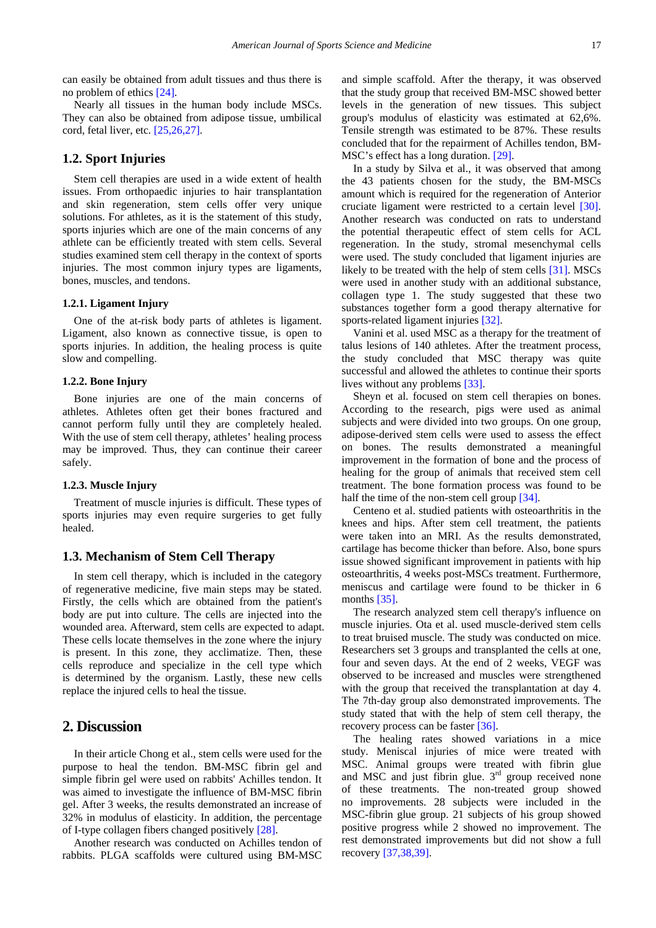can easily be obtained from adult tissues and thus there is no problem of ethic[s \[24\].](#page-2-8)

Nearly all tissues in the human body include MSCs. They can also be obtained from adipose tissue, umbilical cord, fetal liver, etc[. \[25,26,27\].](#page-2-9)

### **1.2. Sport Injuries**

Stem cell therapies are used in a wide extent of health issues. From orthopaedic injuries to hair transplantation and skin regeneration, stem cells offer very unique solutions. For athletes, as it is the statement of this study, sports injuries which are one of the main concerns of any athlete can be efficiently treated with stem cells. Several studies examined stem cell therapy in the context of sports injuries. The most common injury types are ligaments, bones, muscles, and tendons.

#### **1.2.1. Ligament Injury**

One of the at-risk body parts of athletes is ligament. Ligament, also known as connective tissue, is open to sports injuries. In addition, the healing process is quite slow and compelling.

#### **1.2.2. Bone Injury**

Bone injuries are one of the main concerns of athletes. Athletes often get their bones fractured and cannot perform fully until they are completely healed. With the use of stem cell therapy, athletes' healing process may be improved. Thus, they can continue their career safely.

#### **1.2.3. Muscle Injury**

Treatment of muscle injuries is difficult. These types of sports injuries may even require surgeries to get fully healed.

#### **1.3. Mechanism of Stem Cell Therapy**

In stem cell therapy, which is included in the category of regenerative medicine, five main steps may be stated. Firstly, the cells which are obtained from the patient's body are put into culture. The cells are injected into the wounded area. Afterward, stem cells are expected to adapt. These cells locate themselves in the zone where the injury is present. In this zone, they acclimatize. Then, these cells reproduce and specialize in the cell type which is determined by the organism. Lastly, these new cells replace the injured cells to heal the tissue.

## **2. Discussion**

In their article Chong et al., stem cells were used for the purpose to heal the tendon. BM-MSC fibrin gel and simple fibrin gel were used on rabbits' Achilles tendon. It was aimed to investigate the influence of BM-MSC fibrin gel. After 3 weeks, the results demonstrated an increase of 32% in modulus of elasticity. In addition, the percentage of I-type collagen fibers changed positively [\[28\].](#page-2-10)

Another research was conducted on Achilles tendon of rabbits. PLGA scaffolds were cultured using BM-MSC

and simple scaffold. After the therapy, it was observed that the study group that received BM-MSC showed better levels in the generation of new tissues. This subject group's modulus of elasticity was estimated at 62,6%. Tensile strength was estimated to be 87%. These results concluded that for the repairment of Achilles tendon, BM-MSC's effect has a long duration[. \[29\].](#page-2-11)

In a study by Silva et al., it was observed that among the 43 patients chosen for the study, the BM-MSCs amount which is required for the regeneration of Anterior cruciate ligament were restricted to a certain level [\[30\].](#page-2-12) Another research was conducted on rats to understand the potential therapeutic effect of stem cells for ACL regeneration. In the study, stromal mesenchymal cells were used. The study concluded that ligament injuries are likely to be treated with the help of stem cells [\[31\].](#page-2-13) MSCs were used in another study with an additional substance, collagen type 1. The study suggested that these two substances together form a good therapy alternative for sports-related ligament injuries [\[32\].](#page-2-14)

Vanini et al. used MSC as a therapy for the treatment of talus lesions of 140 athletes. After the treatment process, the study concluded that MSC therapy was quite successful and allowed the athletes to continue their sports lives without any problems [\[33\].](#page-3-0)

Sheyn et al. focused on stem cell therapies on bones. According to the research, pigs were used as animal subjects and were divided into two groups. On one group, adipose-derived stem cells were used to assess the effect on bones. The results demonstrated a meaningful improvement in the formation of bone and the process of healing for the group of animals that received stem cell treatment. The bone formation process was found to be half the time of the non-stem cell group [\[34\].](#page-3-1)

Centeno et al. studied patients with osteoarthritis in the knees and hips. After stem cell treatment, the patients were taken into an MRI. As the results demonstrated, cartilage has become thicker than before. Also, bone spurs issue showed significant improvement in patients with hip osteoarthritis, 4 weeks post-MSCs treatment. Furthermore, meniscus and cartilage were found to be thicker in 6 months [\[35\].](#page-3-2)

The research analyzed stem cell therapy's influence on muscle injuries. Ota et al. used muscle-derived stem cells to treat bruised muscle. The study was conducted on mice. Researchers set 3 groups and transplanted the cells at one, four and seven days. At the end of 2 weeks, VEGF was observed to be increased and muscles were strengthened with the group that received the transplantation at day 4. The 7th-day group also demonstrated improvements. The study stated that with the help of stem cell therapy, the recovery process can be faster [\[36\].](#page-3-3)

The healing rates showed variations in a mice study. Meniscal injuries of mice were treated with MSC. Animal groups were treated with fibrin glue and MSC and just fibrin glue. 3<sup>rd</sup> group received none of these treatments. The non-treated group showed no improvements. 28 subjects were included in the MSC-fibrin glue group. 21 subjects of his group showed positive progress while 2 showed no improvement. The rest demonstrated improvements but did not show a full recover[y \[37,38,39\].](#page-3-4)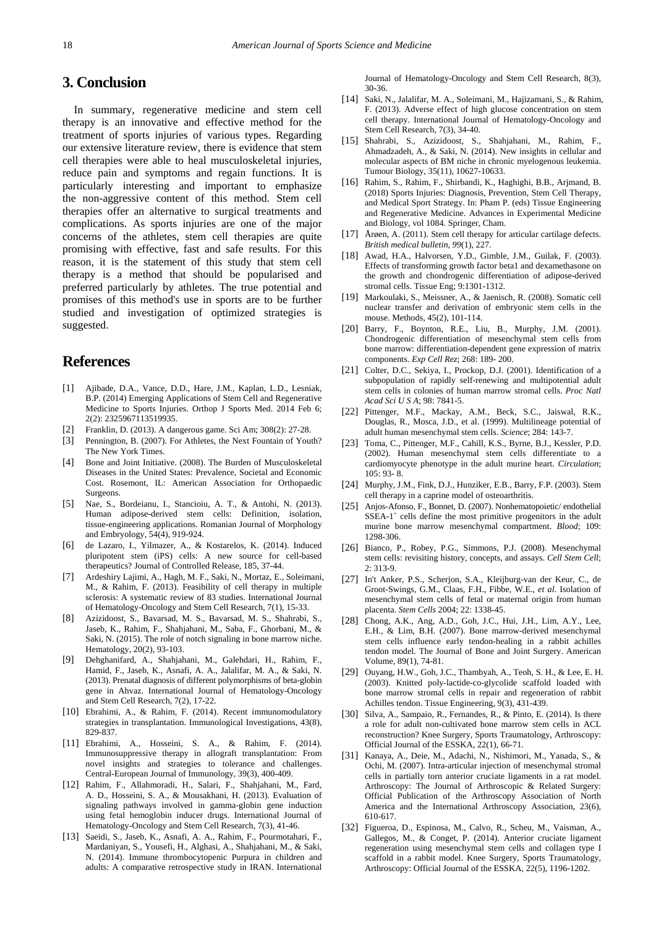# **3. Conclusion**

In summary, regenerative medicine and stem cell therapy is an innovative and effective method for the treatment of sports injuries of various types. Regarding our extensive literature review, there is evidence that stem cell therapies were able to heal musculoskeletal injuries, reduce pain and symptoms and regain functions. It is particularly interesting and important to emphasize the non-aggressive content of this method. Stem cell therapies offer an alternative to surgical treatments and complications. As sports injuries are one of the major concerns of the athletes, stem cell therapies are quite promising with effective, fast and safe results. For this reason, it is the statement of this study that stem cell therapy is a method that should be popularised and preferred particularly by athletes. The true potential and promises of this method's use in sports are to be further studied and investigation of optimized strategies is suggested.

# **References**

- <span id="page-2-0"></span>[1] Ajibade, D.A., Vance, D.D., Hare, J.M., Kaplan, L.D., Lesniak, B.P. (2014) Emerging Applications of Stem Cell and Regenerative Medicine to Sports Injuries. Orthop J Sports Med. 2014 Feb 6; 2(2): 2325967113519935.
- <span id="page-2-1"></span>[2] Franklin, D. (2013). A dangerous game. Sci Am; 308(2): 27-28.
- [3] Pennington, B. (2007). For Athletes, the Next Fountain of Youth? The New York Times.
- <span id="page-2-2"></span>[4] Bone and Joint Initiative. (2008). The Burden of Musculoskeletal Diseases in the United States: Prevalence, Societal and Economic Cost. Rosemont, IL: American Association for Orthopaedic Surgeons.
- <span id="page-2-3"></span>[5] Nae, S., Bordeianu, I., Stancioiu, A. T., & Antohi, N. (2013). Human adipose-derived stem cells: Definition, isolation, tissue-engineering applications. Romanian Journal of Morphology and Embryology, 54(4), 919-924.
- <span id="page-2-4"></span>[6] de Lazaro, I., Yilmazer, A., & Kostarelos, K. (2014). Induced pluripotent stem (iPS) cells: A new source for cell-based therapeutics? Journal of Controlled Release, 185, 37-44.
- [7] Ardeshiry Lajimi, A., Hagh, M. F., Saki, N., Mortaz, E., Soleimani, M., & Rahim, F. (2013). Feasibility of cell therapy in multiple sclerosis: A systematic review of 83 studies. International Journal of Hematology-Oncology and Stem Cell Research, 7(1), 15-33.
- [8] Azizidoost, S., Bavarsad, M. S., Bavarsad, M. S., Shahrabi, S., Jaseb, K., Rahim, F., Shahjahani, M., Saba, F., Ghorbani, M., & Saki, N. (2015). The role of notch signaling in bone marrow niche. Hematology, 20(2), 93-103.
- [9] Dehghanifard, A., Shahjahani, M., Galehdari, H., Rahim, F., Hamid, F., Jaseb, K., Asnafi, A. A., Jalalifar, M. A., & Saki, N. (2013). Prenatal diagnosis of different polymorphisms of beta-globin gene in Ahvaz. International Journal of Hematology-Oncology and Stem Cell Research, 7(2), 17-22.
- [10] Ebrahimi, A., & Rahim, F. (2014). Recent immunomodulatory strategies in transplantation. Immunological Investigations, 43(8), 829-837.
- [11] Ebrahimi, A., Hosseini, S. A., & Rahim, F. (2014). Immunosuppressive therapy in allograft transplantation: From novel insights and strategies to tolerance and challenges. Central-European Journal of Immunology, 39(3), 400-409.
- [12] Rahim, F., Allahmoradi, H., Salari, F., Shahjahani, M., Fard, A. D., Hosseini, S. A., & Mousakhani, H. (2013). Evaluation of signaling pathways involved in gamma-globin gene induction using fetal hemoglobin inducer drugs. International Journal of Hematology-Oncology and Stem Cell Research, 7(3), 41-46.
- [13] Saeidi, S., Jaseb, K., Asnafi, A. A., Rahim, F., Pourmotahari, F., Mardaniyan, S., Yousefi, H., Alghasi, A., Shahjahani, M., & Saki, N. (2014). Immune thrombocytopenic Purpura in children and adults: A comparative retrospective study in IRAN. International

Journal of Hematology-Oncology and Stem Cell Research, 8(3), 30-36.

- [14] Saki, N., Jalalifar, M. A., Soleimani, M., Hajizamani, S., & Rahim, F. (2013). Adverse effect of high glucose concentration on stem cell therapy. International Journal of Hematology-Oncology and Stem Cell Research, 7(3), 34-40.
- [15] Shahrabi, S., Azizidoost, S., Shahjahani, M., Rahim, F., Ahmadzadeh, A., & Saki, N. (2014). New insights in cellular and molecular aspects of BM niche in chronic myelogenous leukemia. Tumour Biology, 35(11), 10627-10633.
- [16] Rahim, S., Rahim, F., Shirbandi, K., Haghighi, B.B., Arjmand, B. (2018) Sports Injuries: Diagnosis, Prevention, Stem Cell Therapy, and Medical Sport Strategy. In: Pham P. (eds) Tissue Engineering and Regenerative Medicine. Advances in Experimental Medicine and Biology, vol 1084. Springer, Cham.
- <span id="page-2-5"></span>[17] Årøen, A. (2011). Stem cell therapy for articular cartilage defects. *British medical bulletin*, *99*(1), 227.
- [18] Awad, H.A., Halvorsen, Y.D., Gimble, J.M., Guilak, F. (2003). Effects of transforming growth factor beta1 and dexamethasone on the growth and chondrogenic differentiation of adipose-derived stromal cells. Tissue Eng; 9:1301-1312.
- <span id="page-2-6"></span>[19] Markoulaki, S., Meissner, A., & Jaenisch, R. (2008). Somatic cell nuclear transfer and derivation of embryonic stem cells in the mouse. Methods, 45(2), 101-114.
- <span id="page-2-7"></span>[20] Barry, F., Boynton, R.E., Liu, B., Murphy, J.M. (2001). Chondrogenic differentiation of mesenchymal stem cells from bone marrow: differentiation-dependent gene expression of matrix components. *Exp Cell Rez*; 268: 189- 200.
- [21] Colter, D.C., Sekiya, I., Prockop, D.J. (2001). Identification of a subpopulation of rapidly self-renewing and multipotential adult stem cells in colonies of human marrow stromal cells. *Proc Natl Acad Sci U S A*; 98: 7841-5.
- [22] Pittenger, M.F., Mackay, A.M., Beck, S.C., Jaiswal, R.K., Douglas, R., Mosca, J.D., et al. (1999). Multilineage potential of adult human mesenchymal stem cells. *Science*; 284: 143-7.
- [23] Toma, C., Pittenger, M.F., Cahill, K.S., Byrne, B.J., Kessler, P.D. (2002). Human mesenchymal stem cells differentiate to a cardiomyocyte phenotype in the adult murine heart. *Circulation*; 105: 93- 8.
- <span id="page-2-8"></span>[24] Murphy, J.M., Fink, D.J., Hunziker, E.B., Barry, F.P. (2003). Stem cell therapy in a caprine model of osteoarthritis.
- <span id="page-2-9"></span>[25] Anjos-Afonso, F., Bonnet, D. (2007). Nonhematopoietic/ endothelial  $SSEA-1^+$  cells define the most primitive progenitors in the adult murine bone marrow mesenchymal compartment. *Blood*; 109: 1298-306.
- [26] Bianco, P., Robey, P.G., Simmons, P.J. (2008). Mesenchymal stem cells: revisiting history, concepts, and assays. *Cell Stem Cell*; 2: 313-9.
- [27] In't Anker, P.S., Scherjon, S.A., Kleijburg-van der Keur, C., de Groot-Swings, G.M., Claas, F.H., Fibbe, W.E., *et al*. Isolation of mesenchymal stem cells of fetal or maternal origin from human placenta. *Stem Cells* 2004; 22: 1338-45.
- <span id="page-2-10"></span>[28] Chong, A.K., Ang, A.D., Goh, J.C., Hui, J.H., Lim, A.Y., Lee, E.H., & Lim, B.H. (2007). Bone marrow-derived mesenchymal stem cells influence early tendon-healing in a rabbit achilles tendon model. The Journal of Bone and Joint Surgery. American Volume, 89(1), 74-81.
- <span id="page-2-11"></span>[29] Ouyang, H.W., Goh, J.C., Thambyah, A., Teoh, S. H., & Lee, E. H. (2003). Knitted poly-lactide-co-glycolide scaffold loaded with bone marrow stromal cells in repair and regeneration of rabbit Achilles tendon. Tissue Engineering, 9(3), 431-439.
- <span id="page-2-12"></span>[30] Silva, A., Sampaio, R., Fernandes, R., & Pinto, E. (2014). Is there a role for adult non-cultivated bone marrow stem cells in ACL reconstruction? Knee Surgery, Sports Traumatology, Arthroscopy: Official Journal of the ESSKA, 22(1), 66-71.
- <span id="page-2-13"></span>[31] Kanaya, A., Deie, M., Adachi, N., Nishimori, M., Yanada, S., & Ochi, M. (2007). Intra-articular injection of mesenchymal stromal cells in partially torn anterior cruciate ligaments in a rat model. Arthroscopy: The Journal of Arthroscopic & Related Surgery: Official Publication of the Arthroscopy Association of North America and the International Arthroscopy Association, 23(6), 610-617.
- <span id="page-2-14"></span>[32] Figueroa, D., Espinosa, M., Calvo, R., Scheu, M., Vaisman, A., Gallegos, M., & Conget, P. (2014). Anterior cruciate ligament regeneration using mesenchymal stem cells and collagen type I scaffold in a rabbit model. Knee Surgery, Sports Traumatology, Arthroscopy: Official Journal of the ESSKA, 22(5), 1196-1202.